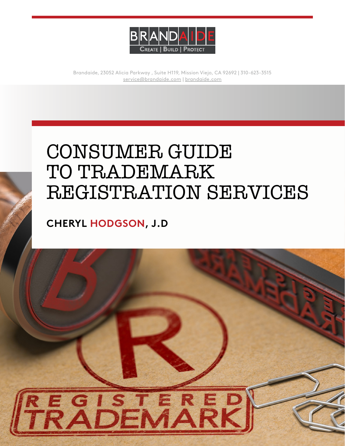

Brandaide, 23052 Alicia Parkway , Suite H119, Mission Viejo, CA 92692 | 310-623-3515 [service@brandaide.com](mailto:service@brandaide.com) | [brandaide.com](https://brandaide.com/)

# CONSUMER GUIDE TO TRADEMARK REGISTRATION SERVICES

### **CHERYL HODGSON, J.D**

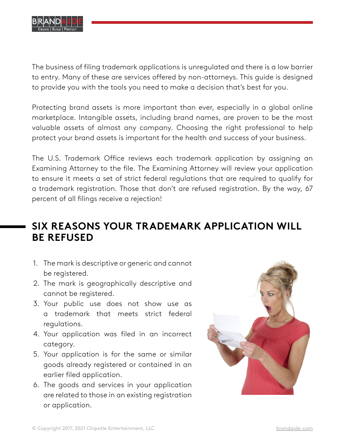

The business of filing trademark applications is unregulated and there is a low barrier to entry. Many of these are services offered by non-attorneys. This guide is designed to provide you with the tools you need to make a decision that's best for you.

Protecting brand assets is more important than ever, especially in a global online marketplace. Intangible assets, including brand names, are proven to be the most valuable assets of almost any company. Choosing the right professional to help protect your brand assets is important for the health and success of your business.

The U.S. Trademark Office reviews each trademark application by assigning an Examining Attorney to the file. The Examining Attorney will review your application to ensure it meets a set of strict federal regulations that are required to qualify for a trademark registration. Those that don't are refused registration. By the way, 67 percent of all filings receive a rejection!

### **SIX REASONS YOUR TRADEMARK APPLICATION WILL BE REFUSED**

- 1. The mark is descriptive or generic and cannot be registered.
- 2. The mark is geographically descriptive and cannot be registered.
- 3. Your public use does not show use as a trademark that meets strict federal regulations.
- 4. Your application was filed in an incorrect category.
- 5. Your application is for the same or similar goods already registered or contained in an earlier filed application.
- 6. The goods and services in your application are related to those in an existing registration or application.

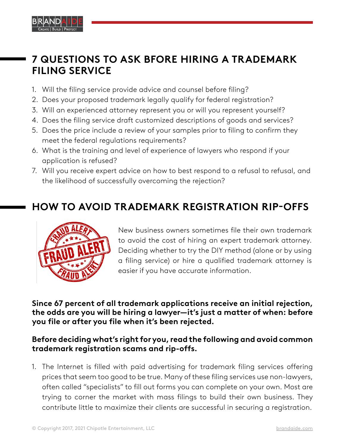

#### **7 QUESTIONS TO ASK BFORE HIRING A TRADEMARK FILING SERVICE**

- 1. Will the filing service provide advice and counsel before filing?
- 2. Does your proposed trademark legally qualify for federal registration?
- 3. Will an experienced attorney represent you or will you represent yourself?
- 4. Does the filing service draft customized descriptions of goods and services?
- 5. Does the price include a review of your samples prior to filing to confirm they meet the federal regulations requirements?
- 6. What is the training and level of experience of lawyers who respond if your application is refused?
- 7. Will you receive expert advice on how to best respond to a refusal to refusal, and the likelihood of successfully overcoming the rejection?

## **HOW TO AVOID TRADEMARK REGISTRATION RIP-OFFS**



New business owners sometimes file their own trademark to avoid the cost of hiring an expert trademark attorney. Deciding whether to try the DIY method (alone or by using a filing service) or hire a qualified trademark attorney is easier if you have accurate information.

**Since 67 percent of all trademark applications receive an initial rejection, the odds are you will be hiring a lawyer—it's just a matter of when: before you file or after you file when it's been rejected.**

#### **Before deciding what's right for you, read the following and avoid common trademark registration scams and rip-offs.**

1. The Internet is filled with paid advertising for trademark filing services offering prices that seem too good to be true. Many of these filing services use non-lawyers, often called "specialists" to fill out forms you can complete on your own. Most are trying to corner the market with mass filings to build their own business. They contribute little to maximize their clients are successful in securing a registration.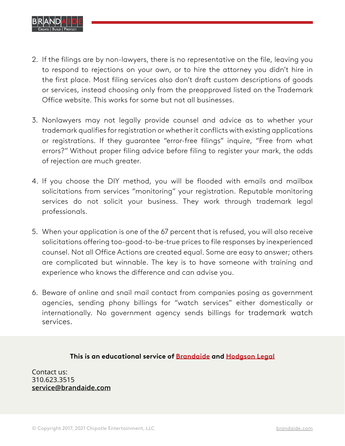

- 2. If the filings are by non-lawyers, there is no representative on the file, leaving you to respond to rejections on your own, or to hire the attorney you didn't hire in the first place. Most filing services also don't draft custom descriptions of goods or services, instead choosing only from the preapproved listed on the Trademark Office website. This works for some but not all businesses.
- 3. Nonlawyers may not legally provide counsel and advice as to whether your trademark qualifies for registration or whether it conflicts with existing applications or registrations. If they guarantee "error-free filings" inquire, "Free from what errors?" Without proper filing advice before filing to register your mark, the odds of rejection are much greater.
- 4. If you choose the DIY method, you will be flooded with emails and mailbox solicitations from services "monitoring" your registration. Reputable monitoring services do not solicit your business. They work through trademark legal professionals.
- 5. When your application is one of the 67 percent that is refused, you will also receive solicitations offering too-good-to-be-true prices to file responses by inexperienced counsel. Not all Office Actions are created equal. Some are easy to answer; others are complicated but winnable. The key is to have someone with training and experience who knows the difference and can advise you.
- 6. Beware of online and snail mail contact from companies posing as government agencies, sending phony billings for "watch services" either domestically or internationally. No government agency sends billings for trademark watch services.

**This is an educational service of [Brandaide](https://brandaide.com/) and [Hodgson Legal](https://hodgsonlegal.com/)**

Contact us: 310.623.3515 **[service@brandaide.com](mailto:service@brandaide.com)**